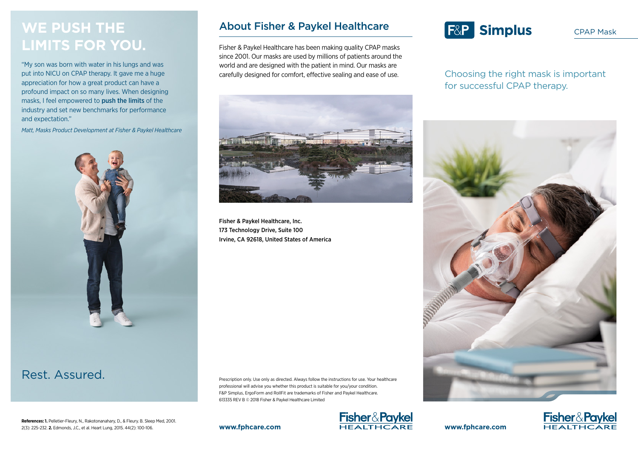## **WE PUSH THE LIMITS FOR YOU.**

"My son was born with water in his lungs and was put into NICU on CPAP therapy. It gave me a huge appreciation for how a great product can have a profound impact on so many lives. When designing masks, I feel empowered to push the limits of the industry and set new benchmarks for performance and expectation."

*Matt, Masks Product Development at Fisher & Paykel Healthcare*



## Rest. Assured.

#### **References: 1.** Pelletier-Fleury, N., Rakotonanahary, D., & Fleury. B. Sleep Med, 2001. 2(3): 225-232. **2.** Edmonds, J.C., et al. Heart Lung, 2015. 44(2): 100-106.

### About Fisher & Paykel Healthcare

Fisher & Paykel Healthcare has been making quality CPAP masks since 2001. Our masks are used by millions of patients around the world and are designed with the patient in mind. Our masks are carefully designed for comfort, effective sealing and ease of use.



Fisher & Paykel Healthcare, Inc. 173 Technology Drive, Suite 100 Irvine, CA 92618, United States of America

Prescription only. Use only as directed. Always follow the instructions for use. Your healthcare professional will advise you whether this product is suitable for you/your condition. F&P Simplus, ErgoForm and RollFit are trademarks of Fisher and Paykel Healthcare. 613335 REV B © 2018 Fisher & Paykel Healthcare Limited



# **F&P Simplus**

CPAP Mask

Choosing the right mask is important for successful CPAP therapy.